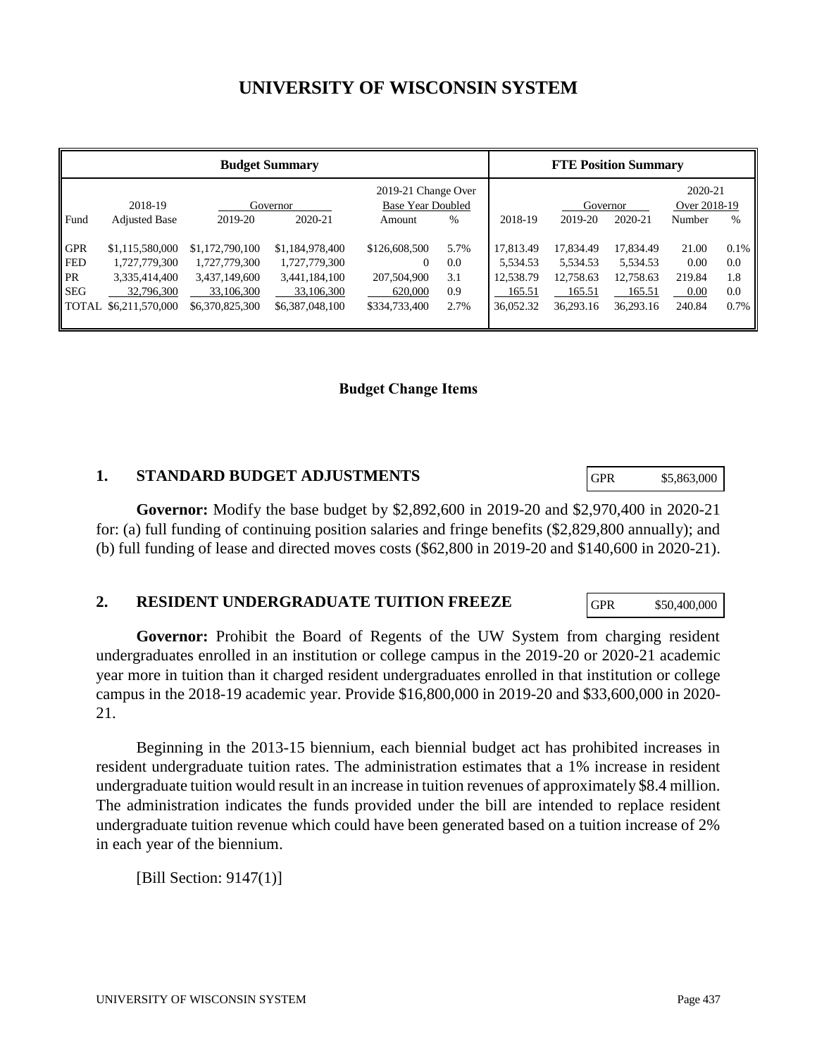# **UNIVERSITY OF WISCONSIN SYSTEM**

| <b>Budget Summary</b>                                               |                                                                                    |                                                                                    |                                                                                    |                                                                      | <b>FTE Position Summary</b>       |                                                           |                                                           |                                                           |                                           |                                      |
|---------------------------------------------------------------------|------------------------------------------------------------------------------------|------------------------------------------------------------------------------------|------------------------------------------------------------------------------------|----------------------------------------------------------------------|-----------------------------------|-----------------------------------------------------------|-----------------------------------------------------------|-----------------------------------------------------------|-------------------------------------------|--------------------------------------|
|                                                                     | 2018-19                                                                            | Governor                                                                           |                                                                                    | 2019-21 Change Over<br>Base Year Doubled                             |                                   |                                                           | Governor                                                  |                                                           | 2020-21<br>Over 2018-19                   |                                      |
| Fund                                                                | <b>Adjusted Base</b>                                                               | 2019-20                                                                            | 2020-21                                                                            | Amount                                                               | %                                 | 2018-19                                                   | 2019-20                                                   | 2020-21                                                   | Number                                    | $\%$                                 |
| <b>GPR</b><br><b>FED</b><br><b>PR</b><br><b>SEG</b><br><b>TOTAL</b> | \$1,115,580,000<br>1,727,779,300<br>3,335,414,400<br>32,796,300<br>\$6,211,570,000 | \$1,172,790,100<br>1,727,779,300<br>3,437,149,600<br>33,106,300<br>\$6,370,825,300 | \$1,184,978,400<br>1,727,779,300<br>3,441,184,100<br>33,106,300<br>\$6,387,048,100 | \$126,608,500<br>$\Omega$<br>207,504,900<br>620,000<br>\$334,733,400 | 5.7%<br>0.0<br>3.1<br>0.9<br>2.7% | 17,813.49<br>5,534.53<br>12,538.79<br>165.51<br>36,052.32 | 17,834.49<br>5,534.53<br>12,758.63<br>165.51<br>36.293.16 | 17,834.49<br>5,534.53<br>12,758.63<br>165.51<br>36,293.16 | 21.00<br>0.00<br>219.84<br>0.00<br>240.84 | $0.1\%$<br>0.0<br>1.8<br>0.0<br>0.7% |

#### **Budget Change Items**

#### **1. STANDARD BUDGET ADJUSTMENTS**

**Governor:** Modify the base budget by \$2,892,600 in 2019-20 and \$2,970,400 in 2020-21 for: (a) full funding of continuing position salaries and fringe benefits (\$2,829,800 annually); and (b) full funding of lease and directed moves costs (\$62,800 in 2019-20 and \$140,600 in 2020-21).

#### **2. RESIDENT UNDERGRADUATE TUITION FREEZE**

**Governor:** Prohibit the Board of Regents of the UW System from charging resident undergraduates enrolled in an institution or college campus in the 2019-20 or 2020-21 academic year more in tuition than it charged resident undergraduates enrolled in that institution or college campus in the 2018-19 academic year. Provide \$16,800,000 in 2019-20 and \$33,600,000 in 2020- 21.

Beginning in the 2013-15 biennium, each biennial budget act has prohibited increases in resident undergraduate tuition rates. The administration estimates that a 1% increase in resident undergraduate tuition would result in an increase in tuition revenues of approximately \$8.4 million. The administration indicates the funds provided under the bill are intended to replace resident undergraduate tuition revenue which could have been generated based on a tuition increase of 2% in each year of the biennium.

[Bill Section: 9147(1)]

GPR \$5,863,000

GPR \$50,400,000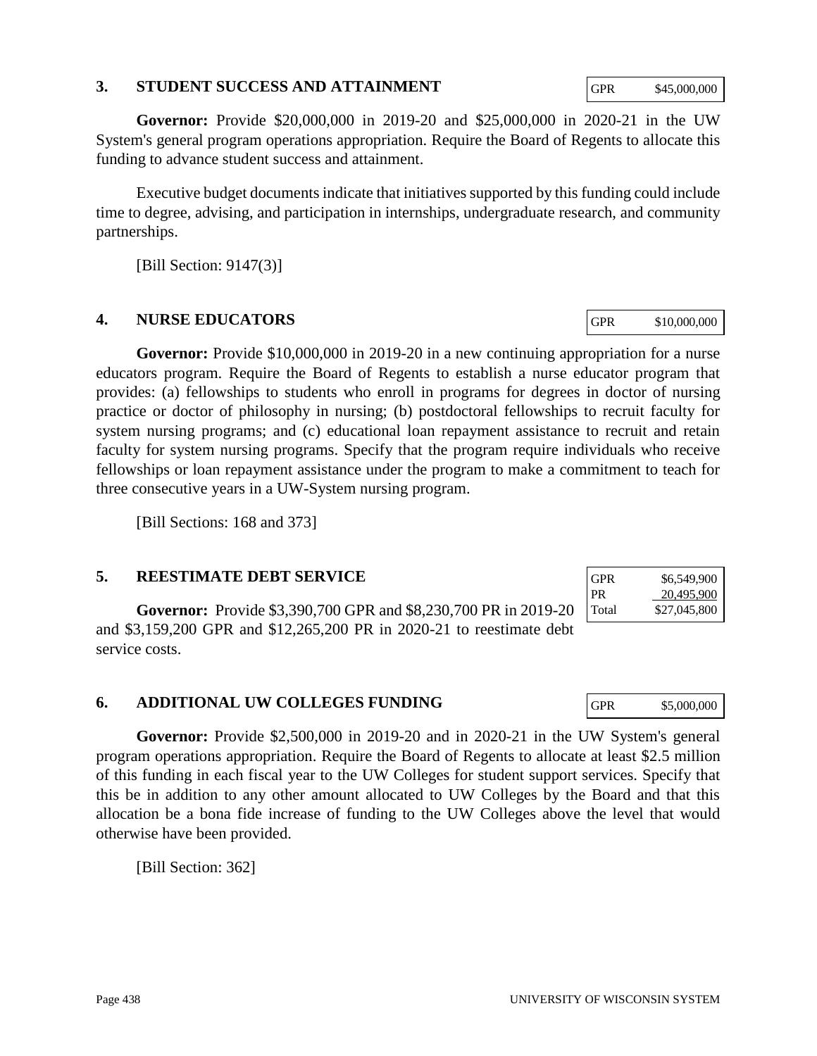#### **3. STUDENT SUCCESS AND ATTAINMENT**

**Governor:** Provide \$20,000,000 in 2019-20 and \$25,000,000 in 2020-21 in the UW System's general program operations appropriation. Require the Board of Regents to allocate this funding to advance student success and attainment.

Executive budget documents indicate that initiatives supported by this funding could include time to degree, advising, and participation in internships, undergraduate research, and community partnerships.

[Bill Section: 9147(3)]

# **4. NURSE EDUCATORS**

**Governor:** Provide \$10,000,000 in 2019-20 in a new continuing appropriation for a nurse educators program. Require the Board of Regents to establish a nurse educator program that provides: (a) fellowships to students who enroll in programs for degrees in doctor of nursing practice or doctor of philosophy in nursing; (b) postdoctoral fellowships to recruit faculty for system nursing programs; and (c) educational loan repayment assistance to recruit and retain faculty for system nursing programs. Specify that the program require individuals who receive fellowships or loan repayment assistance under the program to make a commitment to teach for three consecutive years in a UW-System nursing program.

[Bill Sections: 168 and 373]

# **5. REESTIMATE DEBT SERVICE**

**Governor:** Provide \$3,390,700 GPR and \$8,230,700 PR in 2019-20 and \$3,159,200 GPR and \$12,265,200 PR in 2020-21 to reestimate debt service costs.

# **6. ADDITIONAL UW COLLEGES FUNDING**

**Governor:** Provide \$2,500,000 in 2019-20 and in 2020-21 in the UW System's general program operations appropriation. Require the Board of Regents to allocate at least \$2.5 million of this funding in each fiscal year to the UW Colleges for student support services. Specify that this be in addition to any other amount allocated to UW Colleges by the Board and that this allocation be a bona fide increase of funding to the UW Colleges above the level that would otherwise have been provided.

[Bill Section: 362]

GPR \$6,549,900 PR 20,495,900 Total \$27,045,800

GPR \$10,000,000

| GPR | \$5,000,000 |
|-----|-------------|
|     |             |

GPR \$45,000,000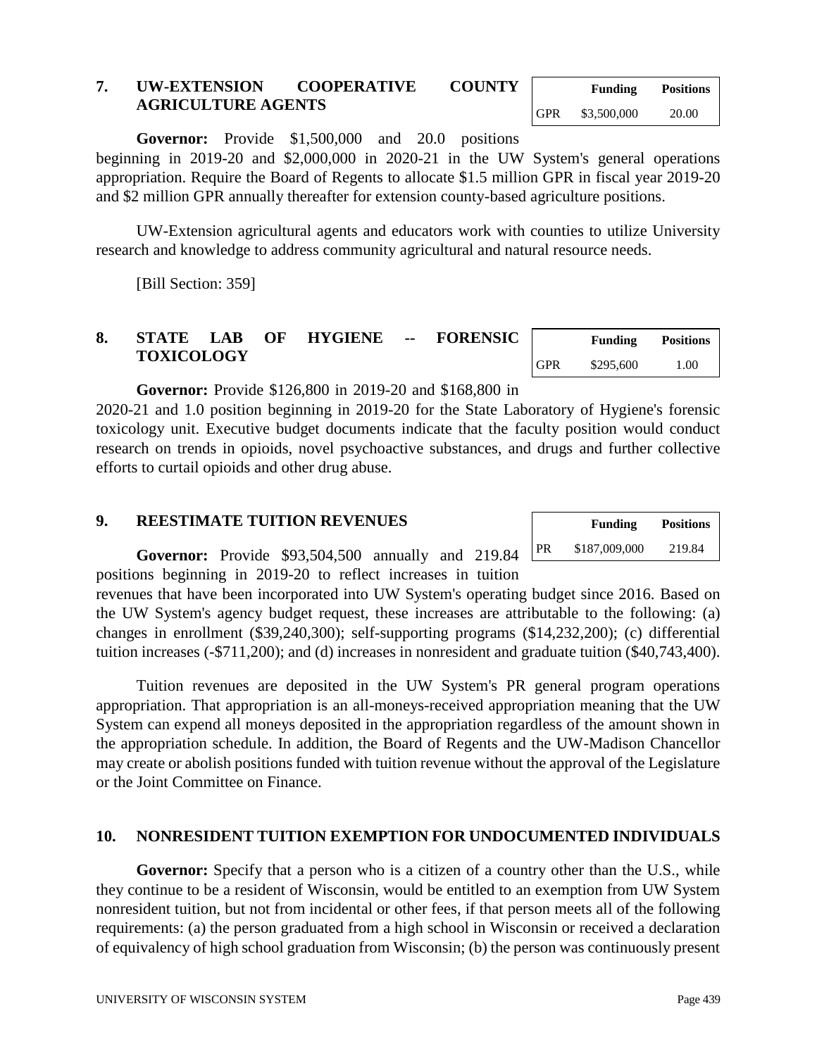#### **7. UW-EXTENSION COOPERATIVE COUNTY AGRICULTURE AGENTS**

**Governor:** Provide \$1,500,000 and 20.0 positions

beginning in 2019-20 and \$2,000,000 in 2020-21 in the UW System's general operations appropriation. Require the Board of Regents to allocate \$1.5 million GPR in fiscal year 2019-20 and \$2 million GPR annually thereafter for extension county-based agriculture positions.

UW-Extension agricultural agents and educators work with counties to utilize University research and knowledge to address community agricultural and natural resource needs.

[Bill Section: 359]

# **8. STATE LAB OF HYGIENE -- FORENSIC TOXICOLOGY**

**Governor:** Provide \$126,800 in 2019-20 and \$168,800 in 2020-21 and 1.0 position beginning in 2019-20 for the State Laboratory of Hygiene's forensic toxicology unit. Executive budget documents indicate that the faculty position would conduct research on trends in opioids, novel psychoactive substances, and drugs and further collective efforts to curtail opioids and other drug abuse.

### **9. REESTIMATE TUITION REVENUES**

**Governor:** Provide \$93,504,500 annually and 219.84 positions beginning in 2019-20 to reflect increases in tuition

revenues that have been incorporated into UW System's operating budget since 2016. Based on the UW System's agency budget request, these increases are attributable to the following: (a) changes in enrollment (\$39,240,300); self-supporting programs (\$14,232,200); (c) differential tuition increases (-\$711,200); and (d) increases in nonresident and graduate tuition (\$40,743,400).

Tuition revenues are deposited in the UW System's PR general program operations appropriation. That appropriation is an all-moneys-received appropriation meaning that the UW System can expend all moneys deposited in the appropriation regardless of the amount shown in the appropriation schedule. In addition, the Board of Regents and the UW-Madison Chancellor may create or abolish positions funded with tuition revenue without the approval of the Legislature or the Joint Committee on Finance.

#### **10. NONRESIDENT TUITION EXEMPTION FOR UNDOCUMENTED INDIVIDUALS**

**Governor:** Specify that a person who is a citizen of a country other than the U.S., while they continue to be a resident of Wisconsin, would be entitled to an exemption from UW System nonresident tuition, but not from incidental or other fees, if that person meets all of the following requirements: (a) the person graduated from a high school in Wisconsin or received a declaration of equivalency of high school graduation from Wisconsin; (b) the person was continuously present

| \$187,009,000<br>219.84<br>PR | <b>Funding</b> | <b>Positions</b> |
|-------------------------------|----------------|------------------|
|                               |                |                  |

**Funding Positions**

GPR \$295,600 1.00

|            | <b>Funding</b> | <b>Positions</b><br>H |
|------------|----------------|-----------------------|
| <b>GPR</b> | \$3,500,000    | 20.00                 |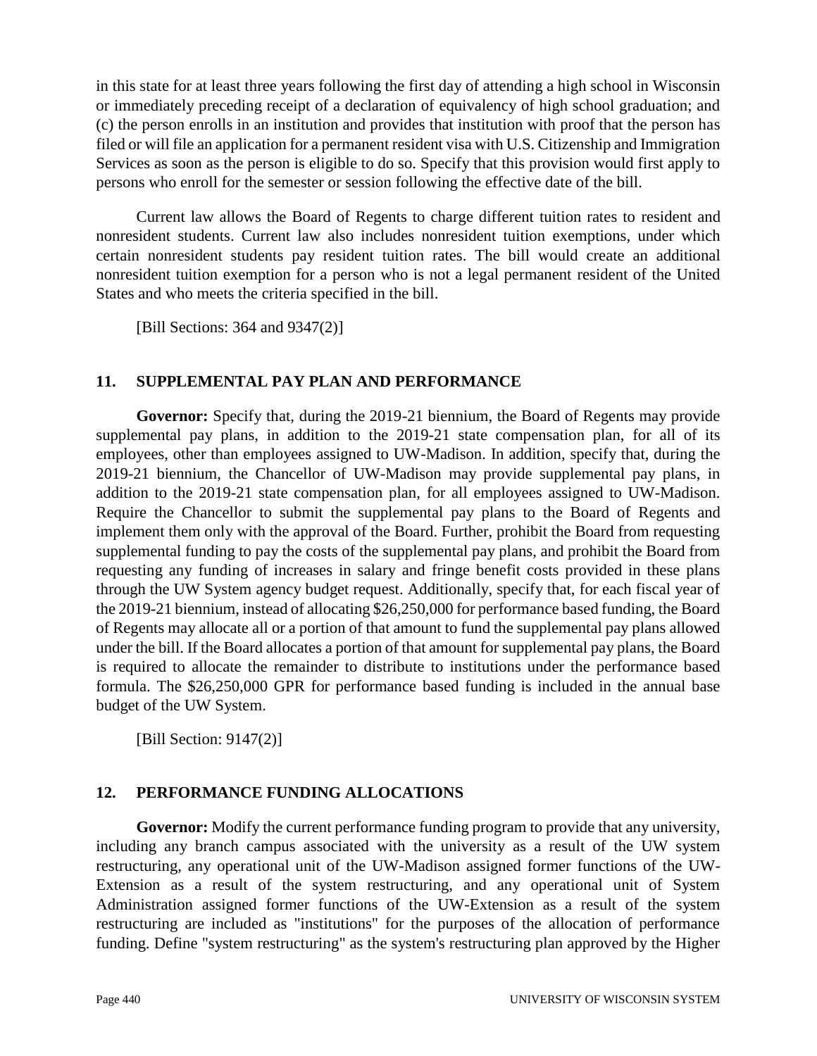in this state for at least three years following the first day of attending a high school in Wisconsin or immediately preceding receipt of a declaration of equivalency of high school graduation; and (c) the person enrolls in an institution and provides that institution with proof that the person has filed or will file an application for a permanent resident visa with U.S. Citizenship and Immigration Services as soon as the person is eligible to do so. Specify that this provision would first apply to persons who enroll for the semester or session following the effective date of the bill.

Current law allows the Board of Regents to charge different tuition rates to resident and nonresident students. Current law also includes nonresident tuition exemptions, under which certain nonresident students pay resident tuition rates. The bill would create an additional nonresident tuition exemption for a person who is not a legal permanent resident of the United States and who meets the criteria specified in the bill.

[Bill Sections: 364 and 9347(2)]

# **11. SUPPLEMENTAL PAY PLAN AND PERFORMANCE**

**Governor:** Specify that, during the 2019-21 biennium, the Board of Regents may provide supplemental pay plans, in addition to the 2019-21 state compensation plan, for all of its employees, other than employees assigned to UW-Madison. In addition, specify that, during the 2019-21 biennium, the Chancellor of UW-Madison may provide supplemental pay plans, in addition to the 2019-21 state compensation plan, for all employees assigned to UW-Madison. Require the Chancellor to submit the supplemental pay plans to the Board of Regents and implement them only with the approval of the Board. Further, prohibit the Board from requesting supplemental funding to pay the costs of the supplemental pay plans, and prohibit the Board from requesting any funding of increases in salary and fringe benefit costs provided in these plans through the UW System agency budget request. Additionally, specify that, for each fiscal year of the 2019-21 biennium, instead of allocating \$26,250,000 for performance based funding, the Board of Regents may allocate all or a portion of that amount to fund the supplemental pay plans allowed under the bill. If the Board allocates a portion of that amount for supplemental pay plans, the Board is required to allocate the remainder to distribute to institutions under the performance based formula. The \$26,250,000 GPR for performance based funding is included in the annual base budget of the UW System.

[Bill Section: 9147(2)]

# **12. PERFORMANCE FUNDING ALLOCATIONS**

**Governor:** Modify the current performance funding program to provide that any university, including any branch campus associated with the university as a result of the UW system restructuring, any operational unit of the UW-Madison assigned former functions of the UW-Extension as a result of the system restructuring, and any operational unit of System Administration assigned former functions of the UW-Extension as a result of the system restructuring are included as "institutions" for the purposes of the allocation of performance funding. Define "system restructuring" as the system's restructuring plan approved by the Higher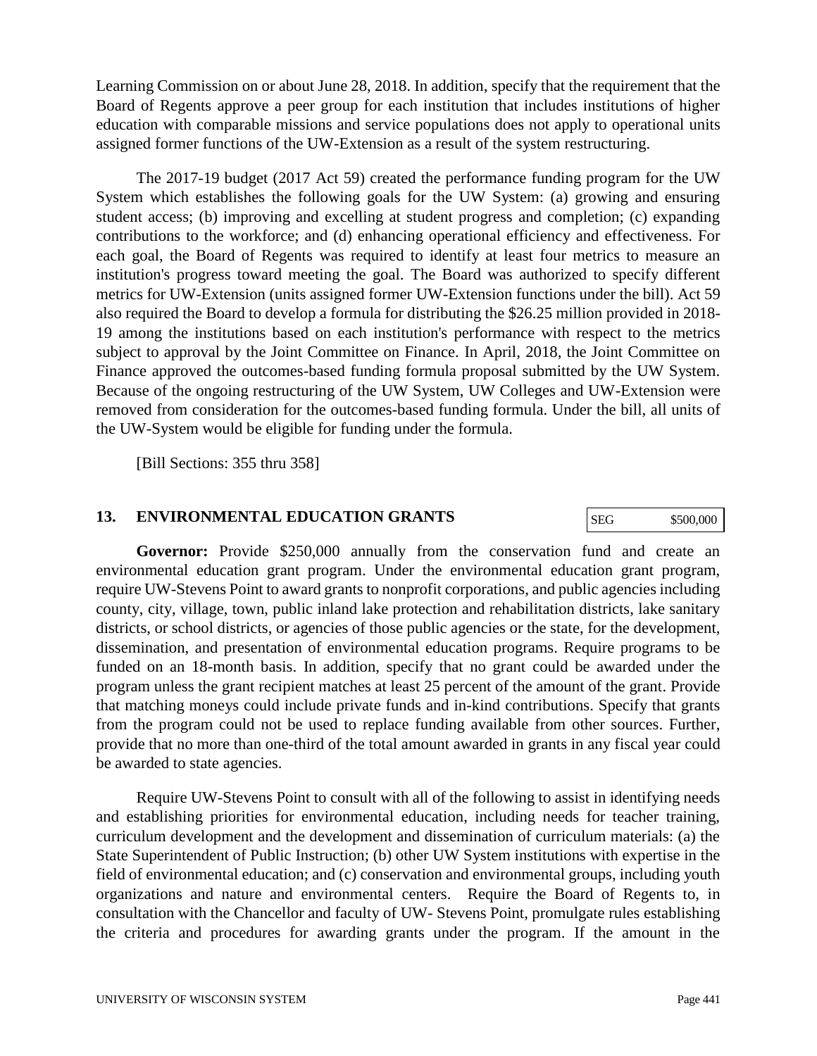Learning Commission on or about June 28, 2018. In addition, specify that the requirement that the Board of Regents approve a peer group for each institution that includes institutions of higher education with comparable missions and service populations does not apply to operational units assigned former functions of the UW-Extension as a result of the system restructuring.

The 2017-19 budget (2017 Act 59) created the performance funding program for the UW System which establishes the following goals for the UW System: (a) growing and ensuring student access; (b) improving and excelling at student progress and completion; (c) expanding contributions to the workforce; and (d) enhancing operational efficiency and effectiveness. For each goal, the Board of Regents was required to identify at least four metrics to measure an institution's progress toward meeting the goal. The Board was authorized to specify different metrics for UW-Extension (units assigned former UW-Extension functions under the bill). Act 59 also required the Board to develop a formula for distributing the \$26.25 million provided in 2018- 19 among the institutions based on each institution's performance with respect to the metrics subject to approval by the Joint Committee on Finance. In April, 2018, the Joint Committee on Finance approved the outcomes-based funding formula proposal submitted by the UW System. Because of the ongoing restructuring of the UW System, UW Colleges and UW-Extension were removed from consideration for the outcomes-based funding formula. Under the bill, all units of the UW-System would be eligible for funding under the formula.

[Bill Sections: 355 thru 358]

#### **13. ENVIRONMENTAL EDUCATION GRANTS**

SEG \$500,000

**Governor:** Provide \$250,000 annually from the conservation fund and create an environmental education grant program. Under the environmental education grant program, require UW-Stevens Point to award grants to nonprofit corporations, and public agencies including county, city, village, town, public inland lake protection and rehabilitation districts, lake sanitary districts, or school districts, or agencies of those public agencies or the state, for the development, dissemination, and presentation of environmental education programs. Require programs to be funded on an 18-month basis. In addition, specify that no grant could be awarded under the program unless the grant recipient matches at least 25 percent of the amount of the grant. Provide that matching moneys could include private funds and in-kind contributions. Specify that grants from the program could not be used to replace funding available from other sources. Further, provide that no more than one-third of the total amount awarded in grants in any fiscal year could be awarded to state agencies.

Require UW-Stevens Point to consult with all of the following to assist in identifying needs and establishing priorities for environmental education, including needs for teacher training, curriculum development and the development and dissemination of curriculum materials: (a) the State Superintendent of Public Instruction; (b) other UW System institutions with expertise in the field of environmental education; and (c) conservation and environmental groups, including youth organizations and nature and environmental centers. Require the Board of Regents to, in consultation with the Chancellor and faculty of UW- Stevens Point, promulgate rules establishing the criteria and procedures for awarding grants under the program. If the amount in the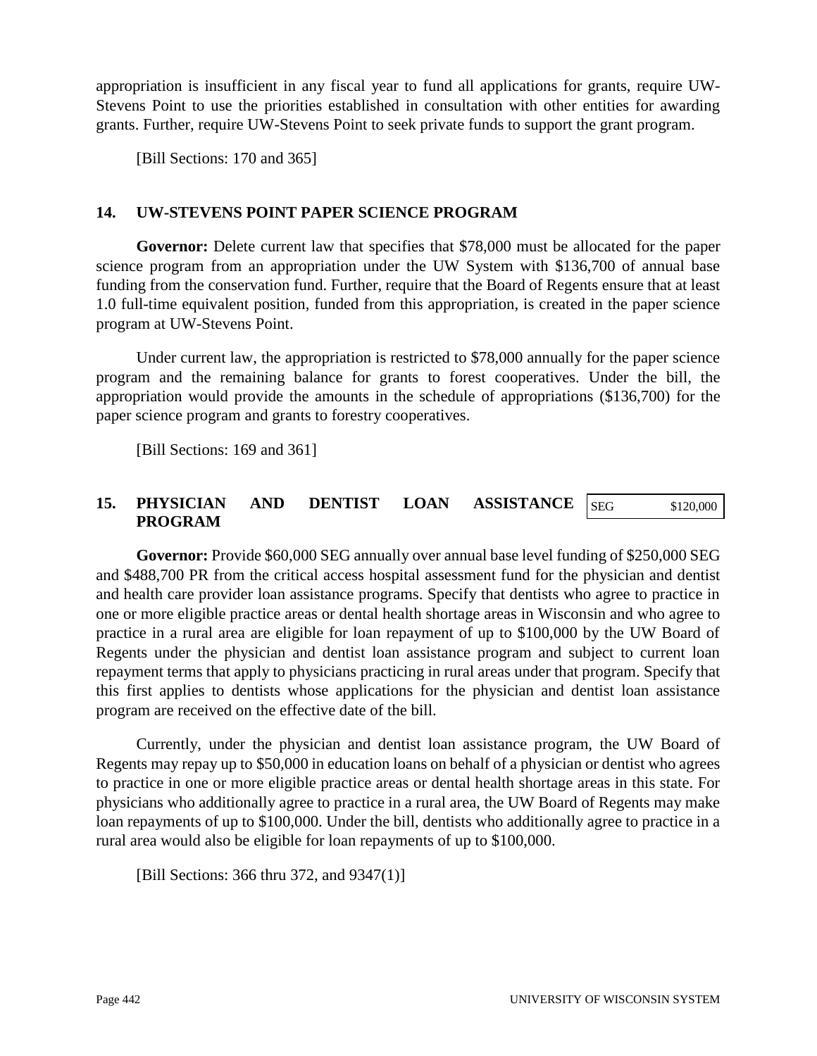appropriation is insufficient in any fiscal year to fund all applications for grants, require UW-Stevens Point to use the priorities established in consultation with other entities for awarding grants. Further, require UW-Stevens Point to seek private funds to support the grant program.

[Bill Sections: 170 and 365]

# **14. UW-STEVENS POINT PAPER SCIENCE PROGRAM**

**Governor:** Delete current law that specifies that \$78,000 must be allocated for the paper science program from an appropriation under the UW System with \$136,700 of annual base funding from the conservation fund. Further, require that the Board of Regents ensure that at least 1.0 full-time equivalent position, funded from this appropriation, is created in the paper science program at UW-Stevens Point.

Under current law, the appropriation is restricted to \$78,000 annually for the paper science program and the remaining balance for grants to forest cooperatives. Under the bill, the appropriation would provide the amounts in the schedule of appropriations (\$136,700) for the paper science program and grants to forestry cooperatives.

[Bill Sections: 169 and 361]

#### **15. PHYSICIAN AND DENTIST LOAN ASSISTANCE PROGRAM** SEG \$120,000

**Governor:** Provide \$60,000 SEG annually over annual base level funding of \$250,000 SEG and \$488,700 PR from the critical access hospital assessment fund for the physician and dentist and health care provider loan assistance programs. Specify that dentists who agree to practice in one or more eligible practice areas or dental health shortage areas in Wisconsin and who agree to practice in a rural area are eligible for loan repayment of up to \$100,000 by the UW Board of Regents under the physician and dentist loan assistance program and subject to current loan repayment terms that apply to physicians practicing in rural areas under that program. Specify that this first applies to dentists whose applications for the physician and dentist loan assistance program are received on the effective date of the bill.

Currently, under the physician and dentist loan assistance program, the UW Board of Regents may repay up to \$50,000 in education loans on behalf of a physician or dentist who agrees to practice in one or more eligible practice areas or dental health shortage areas in this state. For physicians who additionally agree to practice in a rural area, the UW Board of Regents may make loan repayments of up to \$100,000. Under the bill, dentists who additionally agree to practice in a rural area would also be eligible for loan repayments of up to \$100,000.

[Bill Sections: 366 thru 372, and 9347(1)]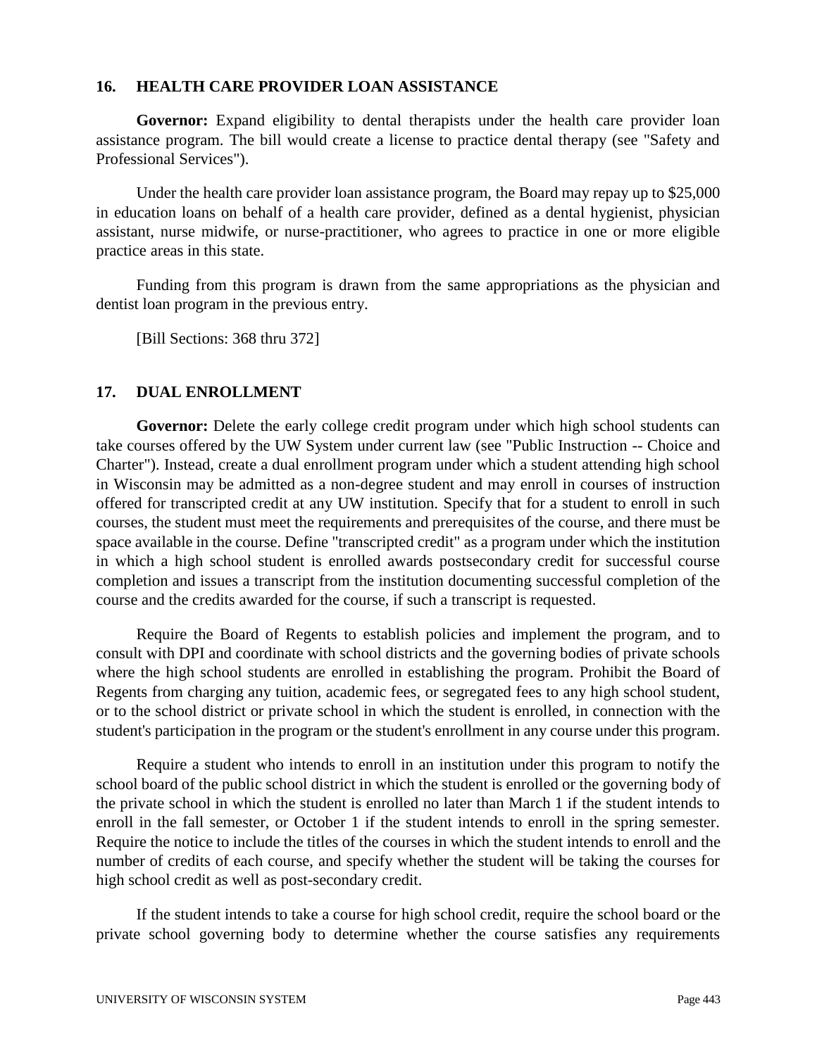#### **16. HEALTH CARE PROVIDER LOAN ASSISTANCE**

**Governor:** Expand eligibility to dental therapists under the health care provider loan assistance program. The bill would create a license to practice dental therapy (see "Safety and Professional Services").

Under the health care provider loan assistance program, the Board may repay up to \$25,000 in education loans on behalf of a health care provider, defined as a dental hygienist, physician assistant, nurse midwife, or nurse-practitioner, who agrees to practice in one or more eligible practice areas in this state.

Funding from this program is drawn from the same appropriations as the physician and dentist loan program in the previous entry.

[Bill Sections: 368 thru 372]

#### **17. DUAL ENROLLMENT**

Governor: Delete the early college credit program under which high school students can take courses offered by the UW System under current law (see "Public Instruction -- Choice and Charter"). Instead, create a dual enrollment program under which a student attending high school in Wisconsin may be admitted as a non-degree student and may enroll in courses of instruction offered for transcripted credit at any UW institution. Specify that for a student to enroll in such courses, the student must meet the requirements and prerequisites of the course, and there must be space available in the course. Define "transcripted credit" as a program under which the institution in which a high school student is enrolled awards postsecondary credit for successful course completion and issues a transcript from the institution documenting successful completion of the course and the credits awarded for the course, if such a transcript is requested.

Require the Board of Regents to establish policies and implement the program, and to consult with DPI and coordinate with school districts and the governing bodies of private schools where the high school students are enrolled in establishing the program. Prohibit the Board of Regents from charging any tuition, academic fees, or segregated fees to any high school student, or to the school district or private school in which the student is enrolled, in connection with the student's participation in the program or the student's enrollment in any course under this program.

Require a student who intends to enroll in an institution under this program to notify the school board of the public school district in which the student is enrolled or the governing body of the private school in which the student is enrolled no later than March 1 if the student intends to enroll in the fall semester, or October 1 if the student intends to enroll in the spring semester. Require the notice to include the titles of the courses in which the student intends to enroll and the number of credits of each course, and specify whether the student will be taking the courses for high school credit as well as post-secondary credit.

If the student intends to take a course for high school credit, require the school board or the private school governing body to determine whether the course satisfies any requirements